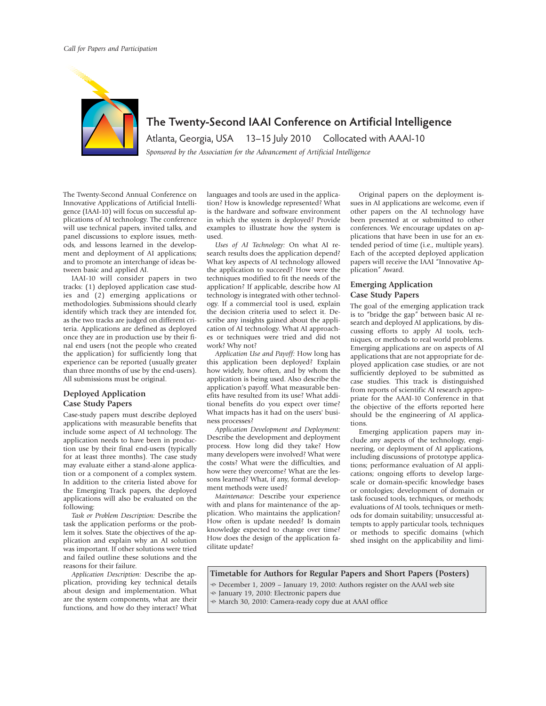

**The Twenty-Second IAAI Conference on Artificial Intelligence**

Atlanta, Georgia, USA 13–15 July 2010 Collocated with AAAI-10 *Sponsored by the Association for the Advancement of Artificial Intelligence* 

The Twenty-Second Annual Conference on Innovative Applications of Artificial Intelligence (IAAI-10) will focus on successful applications of AI technology. The conference will use technical papers, invited talks, and panel discussions to explore issues, methods, and lessons learned in the development and deployment of AI applications; and to promote an interchange of ideas between basic and applied AI.

IAAI-10 will consider papers in two tracks: (1) deployed application case studies and (2) emerging applications or methodologies. Submissions should clearly identify which track they are intended for, as the two tracks are judged on different criteria. Applications are defined as deployed once they are in production use by their final end users (not the people who created the application) for sufficiently long that experience can be reported (usually greater than three months of use by the end-users). All submissions must be original.

## **Deployed Application Case Study Papers**

Case-study papers must describe deployed applications with measurable benefits that include some aspect of AI technology. The application needs to have been in production use by their final end-users (typically for at least three months). The case study may evaluate either a stand-alone application or a component of a complex system. In addition to the criteria listed above for the Emerging Track papers, the deployed applications will also be evaluated on the following:

*Task or Problem Description:* Describe the task the application performs or the problem it solves. State the objectives of the application and explain why an AI solution was important. If other solutions were tried and failed outline these solutions and the reasons for their failure.

*Application Description:* Describe the application, providing key technical details about design and implementation. What are the system components, what are their functions, and how do they interact? What languages and tools are used in the application? How is knowledge represented? What is the hardware and software environment in which the system is deployed? Provide examples to illustrate how the system is used.

*Uses of AI Technology:* On what AI research results does the application depend? What key aspects of AI technology allowed the application to succeed? How were the techniques modified to fit the needs of the application? If applicable, describe how AI technology is integrated with other technology. If a commercial tool is used, explain the decision criteria used to select it. Describe any insights gained about the application of AI technology. What AI approaches or techniques were tried and did not work? Why not?

*Application Use and Payoff:* How long has this application been deployed? Explain how widely, how often, and by whom the application is being used. Also describe the application's payoff. What measurable benefits have resulted from its use? What additional benefits do you expect over time? What impacts has it had on the users' business processes?

*Application Development and Deployment:* Describe the development and deployment process. How long did they take? How many developers were involved? What were the costs? What were the difficulties, and how were they overcome? What are the lessons learned? What, if any, formal development methods were used?

*Maintenance:* Describe your experience with and plans for maintenance of the application. Who maintains the application? How often is update needed? Is domain knowledge expected to change over time? How does the design of the application facilitate update?

Original papers on the deployment issues in AI applications are welcome, even if other papers on the AI technology have been presented at or submitted to other conferences. We encourage updates on applications that have been in use for an extended period of time (i.e., multiple years). Each of the accepted deployed application papers will receive the IAAI "Innovative Application" Award.

## **Emerging Application Case Study Papers**

The goal of the emerging application track is to "bridge the gap" between basic AI research and deployed AI applications, by discussing efforts to apply AI tools, techniques, or methods to real world problems. Emerging applications are on aspects of AI applications that are not appropriate for deployed application case studies, or are not sufficiently deployed to be submitted as case studies. This track is distinguished from reports of scientific AI research appropriate for the AAAI-10 Conference in that the objective of the efforts reported here should be the engineering of AI applications.

Emerging application papers may include any aspects of the technology, engineering, or deployment of AI applications, including discussions of prototype applications; performance evaluation of AI applications; ongoing efforts to develop largescale or domain-specific knowledge bases or ontologies; development of domain or task focused tools, techniques, or methods; evaluations of AI tools, techniques or methods for domain suitability; unsuccessful attempts to apply particular tools, techniques or methods to specific domains (which shed insight on the applicability and limi-

**Timetable for Authors for Regular Papers and Short Papers (Posters)**

- December 1, 2009 – January 19, 2010: Authors register on the AAAI web site

- January 19, 2010: Electronic papers due
- March 30, 2010: Camera-ready copy due at AAAI office